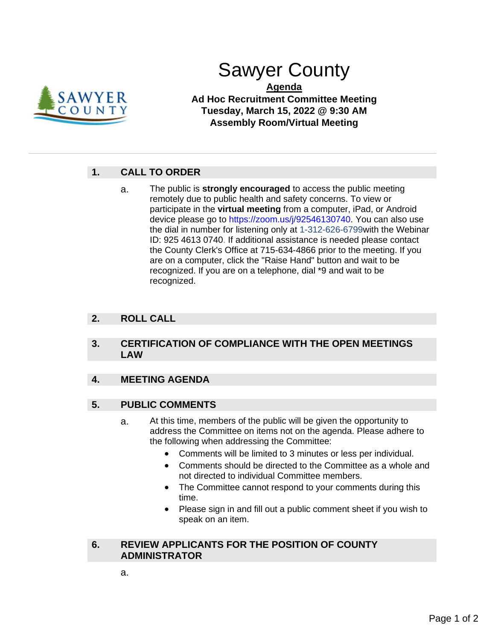

# Sawyer County

**Agenda Ad Hoc Recruitment Committee Meeting Tuesday, March 15, 2022 @ 9:30 AM Assembly Room/Virtual Meeting**

## **1. CALL TO ORDER**

a. The public is **strongly encouraged** to access the public meeting remotely due to public health and safety concerns. To view or participate in the **virtual meeting** from a computer, iPad, or Android device please go to https://zoom.us/j/92546130740. You can also use the dial in number for listening only at 1-312-626-6799with the Webinar ID: 925 4613 0740. If additional assistance is needed please contact the County Clerk's Office at 715-634-4866 prior to the meeting. If you are on a computer, click the "Raise Hand" button and wait to be recognized. If you are on a telephone, dial \*9 and wait to be recognized.

### **2. ROLL CALL**

#### **3. CERTIFICATION OF COMPLIANCE WITH THE OPEN MEETINGS LAW**

#### **4. MEETING AGENDA**

#### **5. PUBLIC COMMENTS**

- a. At this time, members of the public will be given the opportunity to address the Committee on items not on the agenda. Please adhere to the following when addressing the Committee:
	- Comments will be limited to 3 minutes or less per individual.
	- Comments should be directed to the Committee as a whole and not directed to individual Committee members.
	- The Committee cannot respond to your comments during this time.
	- Please sign in and fill out a public comment sheet if you wish to speak on an item.

#### **6. REVIEW APPLICANTS FOR THE POSITION OF COUNTY ADMINISTRATOR**